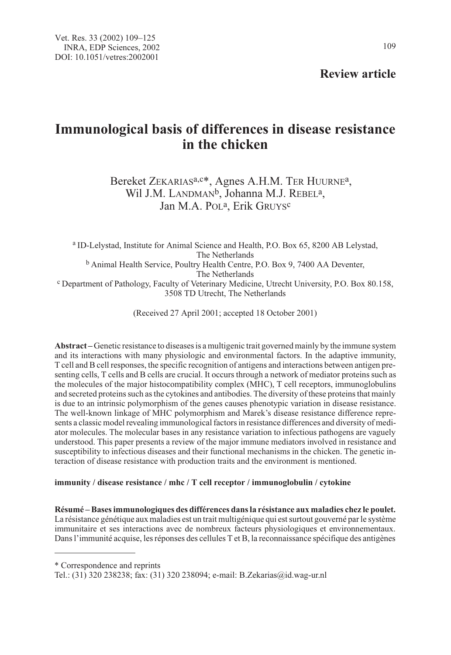Review article

# Immunological basis of differences in disease resistance in the chicken

Bereket ZEKARIAS<sup>a,c\*</sup>, Agnes A.H.M. TER HUURNE<sup>a</sup>, Wil J.M. LANDMAN<sup>b</sup>, Johanna M.J. REBEL<sup>a</sup>, Jan M.A. POL<sup>a</sup>, Erik GRUYS<sup>c</sup>

<sup>a</sup> ID-Lelystad, Institute for Animal Science and Health, P.O. Box 65, 8200 AB Lelystad, The Netherlands  $b$  Animal Health Service, Poultry Health Centre, P.O. Box 9, 7400 AA Deventer,<br>The Netherlands <sup>c</sup> Department of Pathology, Faculty of Veterinary Medicine, Utrecht University, P.O. Box 80.158, 3508 TD Utrecht, The Netherlands

(Received 27 April 2001; accepted 18 October 2001)

Abstract – Genetic resistance to diseases is a multigenic trait governed mainly by the immune system and its interactions with many physiologic and environmental factors. In the adaptive immunity, T cell and B cell responses, the specific recognition of antigens and interactions between antigen presenting cells, T cells and B cells are crucial. It occurs through a network of mediator proteins such as the molecules of the major histocompatibility complex (MHC), T cell receptors, immunoglobulins and secreted proteins such as the cytokines and antibodies. The diversity of these proteins that mainly is due to an intrinsic polymorphism of the genes causes phenotypic variation in disease resistance. The well-known linkage of MHC polymorphism and Marek's disease resistance difference represents a classic model revealing immunological factors in resistance differences and diversity of mediator molecules. The molecular bases in any resistance variation to infectious pathogens are vaguely understood. This paper presents a review of the major immune mediators involved in resistance and susceptibility to infectious diseases and their functional mechanisms in the chicken. The genetic interaction of disease resistance with production traits and the environment is mentioned.

## immunity / disease resistance / mhc / T cell receptor / immunoglobulin / cytokine

Résumé – Bases immunologiques des différences dans la résistance aux maladies chez le poulet. La résistance génétique aux maladies est un trait multigénique qui est surtout gouverné par le système immunitaire et ses interactions avec de nombreux facteurs physiologiques et environnementaux. Dans l'immunité acquise, les réponses des cellules T et B, la reconnaissance spécifique des antigènes

\* Correspondence and reprints

Tel.: (31) 320 238238; fax: (31) 320 238094; e-mail: B.Zekarias@id.wag-ur.nl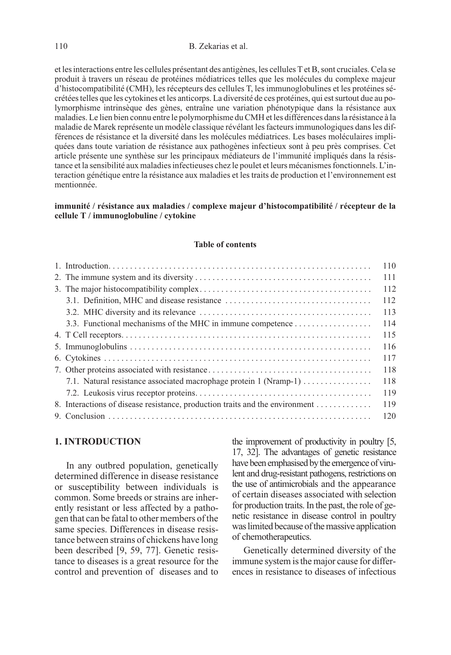et les interactions entre les cellules présentant des antigènes, les cellules T et B, sont cruciales. Cela se produit à travers un réseau de protéines médiatrices telles que les molécules du complexe majeur d'histocompatibilité (CMH), les récepteurs des cellules T, les immunoglobulines et les protéines sécrétées telles que les cytokines et les anticorps. La diversité de ces protéines, qui est surtout due au polymorphisme intrinsèque des gènes, entraîne une variation phénotypique dans la résistance aux maladies. Le lien bien connu entre le polymorphisme du CMH et les différences dans la résistance à la maladie de Marek représente un modèle classique révélant les facteurs immunologiques dans les différences de résistance et la diversité dans les molécules médiatrices. Les bases moléculaires impliquées dans toute variation de résistance aux pathogènes infectieux sont à peu près comprises. Cet article présente une synthèse sur les principaux médiateurs de l'immunité impliqués dans la résistance et la sensibilité aux maladies infectieuses chez le poulet et leurs mécanismes fonctionnels. L'interaction génétique entre la résistance aux maladies et les traits de production et l'environnement est mentionnée.

#### immunité / résistance aux maladies / complexe majeur d'histocompatibilité / récepteur de la cellule T / immunoglobuline / cytokine

#### Table of contents

|                                                                              | 110 |
|------------------------------------------------------------------------------|-----|
|                                                                              | 111 |
|                                                                              | 112 |
|                                                                              | 112 |
|                                                                              | 113 |
|                                                                              | 114 |
|                                                                              | 115 |
|                                                                              | 116 |
|                                                                              | 117 |
|                                                                              | 118 |
| 7.1. Natural resistance associated macrophage protein 1 (Nramp-1)            | 118 |
|                                                                              | 119 |
| 8. Interactions of disease resistance, production traits and the environment | 119 |
|                                                                              |     |

# 1. INTRODUCTION

In any outbred population, genetically determined difference in disease resistance or susceptibility between individuals is common. Some breeds or strains are inherently resistant or less affected by a pathogen that can be fatal to other members of the same species. Differences in disease resistance between strains of chickens have long been described [9, 59, 77]. Genetic resistance to diseases is a great resource for the control and prevention of diseases and to the improvement of productivity in poultry [5, 17, 32]. The advantages of genetic resistance have been emphasised by the emergence of virulent and drug-resistant pathogens, restrictions on the use of antimicrobials and the appearance of certain diseases associated with selection for production traits. In the past, the role of genetic resistance in disease control in poultry was limited because of the massive application of chemotherapeutics.

Genetically determined diversity of the immune system is the major cause for differences in resistance to diseases of infectious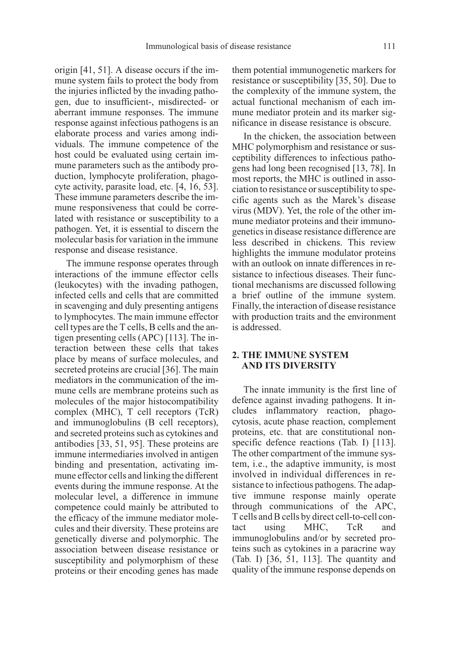origin [41, 51]. A disease occurs if the immune system fails to protect the body from the injuries inflicted by the invading pathogen, due to insufficient-, misdirected- or aberrant immune responses. The immune response against infectious pathogens is an elaborate process and varies among individuals. The immune competence of the host could be evaluated using certain immune parameters such as the antibody production, lymphocyte proliferation, phagocyte activity, parasite load, etc. [4, 16, 53]. These immune parameters describe the immune responsiveness that could be correlated with resistance or susceptibility to a pathogen. Yet, it is essential to discern the molecular basis for variation in the immune response and disease resistance.

The immune response operates through interactions of the immune effector cells (leukocytes) with the invading pathogen, infected cells and cells that are committed in scavenging and duly presenting antigens to lymphocytes. The main immune effector cell types are the T cells, B cells and the antigen presenting cells (APC) [113]. The interaction between these cells that takes place by means of surface molecules, and secreted proteins are crucial [36]. The main mediators in the communication of the immune cells are membrane proteins such as molecules of the major histocompatibility complex (MHC), T cell receptors (TcR) and immunoglobulins (B cell receptors), and secreted proteins such as cytokines and antibodies [33, 51, 95]. These proteins are immune intermediaries involved in antigen binding and presentation, activating immune effector cells and linking the different events during the immune response. At the molecular level, a difference in immune competence could mainly be attributed to the efficacy of the immune mediator molecules and their diversity. These proteins are genetically diverse and polymorphic. The association between disease resistance or susceptibility and polymorphism of these proteins or their encoding genes has made

them potential immunogenetic markers for resistance or susceptibility [35, 50]. Due to the complexity of the immune system, the actual functional mechanism of each immune mediator protein and its marker significance in disease resistance is obscure.

In the chicken, the association between MHC polymorphism and resistance or susceptibility differences to infectious pathogens had long been recognised [13, 78]. In most reports, the MHC is outlined in association to resistance or susceptibility to specific agents such as the Marek's disease virus (MDV). Yet, the role of the other immune mediator proteins and their immunogenetics in disease resistance difference are less described in chickens. This review highlights the immune modulator proteins with an outlook on innate differences in resistance to infectious diseases. Their functional mechanisms are discussed following a brief outline of the immune system. Finally, the interaction of disease resistance with production traits and the environment is addressed.

## 2. THE IMMUNE SYSTEM AND ITS DIVERSITY

The innate immunity is the first line of defence against invading pathogens. It includes inflammatory reaction, phagocytosis, acute phase reaction, complement proteins, etc. that are constitutional nonspecific defence reactions (Tab. I) [113]. The other compartment of the immune system, i.e., the adaptive immunity, is most involved in individual differences in resistance to infectious pathogens. The adaptive immune response mainly operate through communications of the APC, T cells and B cells by direct cell-to-cell contact using MHC, TcR and immunoglobulins and/or by secreted proteins such as cytokines in a paracrine way (Tab. I) [36, 51, 113]. The quantity and quality of the immune response depends on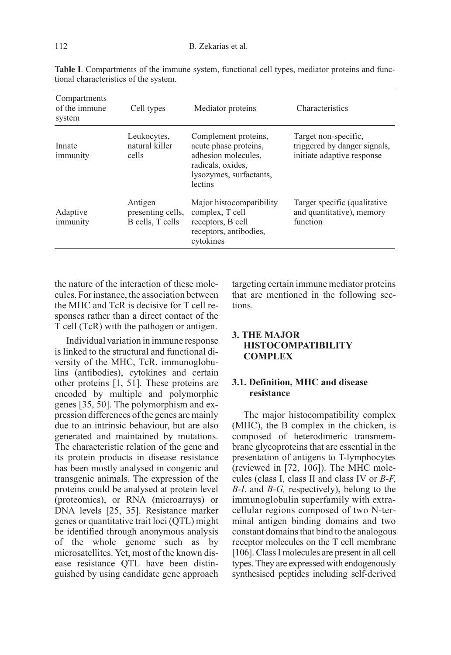| Compartments<br>of the immune<br>system | Cell types                                       | Mediator proteins                                                                                                               | Characteristics                                                                    |
|-----------------------------------------|--------------------------------------------------|---------------------------------------------------------------------------------------------------------------------------------|------------------------------------------------------------------------------------|
| Innate<br>immunity                      | Leukocytes,<br>natural killer<br>cells           | Complement proteins,<br>acute phase proteins,<br>adhesion molecules,<br>radicals, oxides,<br>lysozymes, surfactants,<br>lectins | Target non-specific.<br>triggered by danger signals,<br>initiate adaptive response |
| Adaptive<br>immunity                    | Antigen<br>presenting cells,<br>B cells, T cells | Major histocompatibility<br>complex, T cell<br>receptors, B cell<br>receptors, antibodies,<br>cytokines                         | Target specific (qualitative<br>and quantitative), memory<br>function              |

Table I. Compartments of the immune system, functional cell types, mediator proteins and functional characteristics of the system.

the nature of the interaction of these molecules. For instance, the association between the MHC and TcR is decisive for T cell responses rather than a direct contact of the T cell (TcR) with the pathogen or antigen.

Individual variation in immune response is linked to the structural and functional diversity of the MHC, TcR, immunoglobulins (antibodies), cytokines and certain other proteins [1, 51]. These proteins are encoded by multiple and polymorphic genes [35, 50]. The polymorphism and expression differences of the genes are mainly due to an intrinsic behaviour, but are also generated and maintained by mutations. The characteristic relation of the gene and its protein products in disease resistance has been mostly analysed in congenic and transgenic animals. The expression of the proteins could be analysed at protein level (proteomics), or RNA (microarrays) or DNA levels [25, 35]. Resistance marker genes or quantitative trait loci (QTL) might be identified through anonymous analysis of the whole genome such as by microsatellites. Yet, most of the known disease resistance QTL have been distinguished by using candidate gene approach targeting certain immune mediator proteins that are mentioned in the following sections.

# 3. THE MAJOR HISTOCOMPATIBILITY **COMPLEX**

#### 3.1. Definition, MHC and disease resistance

The major histocompatibility complex (MHC), the B complex in the chicken, is composed of heterodimeric transmembrane glycoproteins that are essential in the presentation of antigens to T-lymphocytes (reviewed in [72, 106]). The MHC molecules (class I, class II and class IV or B-F,  $B-L$  and  $B-G$ , respectively), belong to the immunoglobulin superfamily with extracellular regions composed of two N-terminal antigen binding domains and two constant domains that bind to the analogous receptor molecules on the T cell membrane [106]. Class I molecules are present in all cell types. They are expressed with endogenously synthesised peptides including self-derived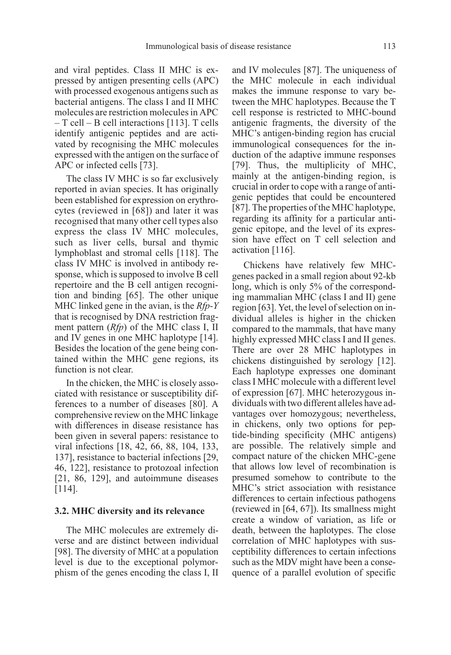and viral peptides. Class II MHC is expressed by antigen presenting cells (APC) with processed exogenous antigens such as bacterial antigens. The class I and II MHC molecules are restriction molecules in APC – T cell – B cell interactions [113]. T cells identify antigenic peptides and are activated by recognising the MHC molecules expressed with the antigen on the surface of APC or infected cells [73].

The class IV MHC is so far exclusively reported in avian species. It has originally been established for expression on erythrocytes (reviewed in [68]) and later it was recognised that many other cell types also express the class IV MHC molecules, such as liver cells, bursal and thymic lymphoblast and stromal cells [118]. The class IV MHC is involved in antibody response, which is supposed to involve B cell repertoire and the B cell antigen recognition and binding [65]. The other unique MHC linked gene in the avian, is the  $Rfp-Y$ that is recognised by DNA restriction fragment pattern  $(Rfp)$  of the MHC class I, II and IV genes in one MHC haplotype [14]. Besides the location of the gene being contained within the MHC gene regions, its function is not clear.

In the chicken, the MHC is closely associated with resistance or susceptibility differences to a number of diseases [80]. A comprehensive review on the MHC linkage with differences in disease resistance has been given in several papers: resistance to viral infections [18, 42, 66, 88, 104, 133, 137], resistance to bacterial infections [29, 46, 122], resistance to protozoal infection [21, 86, 129], and autoimmune diseases [114].

## 3.2. MHC diversity and its relevance

The MHC molecules are extremely diverse and are distinct between individual [98]. The diversity of MHC at a population level is due to the exceptional polymorphism of the genes encoding the class I, II and IV molecules [87]. The uniqueness of the MHC molecule in each individual makes the immune response to vary between the MHC haplotypes. Because the T cell response is restricted to MHC-bound antigenic fragments, the diversity of the MHC's antigen-binding region has crucial immunological consequences for the induction of the adaptive immune responses [79]. Thus, the multiplicity of MHC, mainly at the antigen-binding region, is crucial in order to cope with a range of antigenic peptides that could be encountered [87]. The properties of the MHC haplotype, regarding its affinity for a particular antigenic epitope, and the level of its expression have effect on T cell selection and activation [116].

Chickens have relatively few MHCgenes packed in a small region about 92-kb long, which is only 5% of the corresponding mammalian MHC (class I and II) gene region [63]. Yet, the level of selection on individual alleles is higher in the chicken compared to the mammals, that have many highly expressed MHC class I and II genes. There are over 28 MHC haplotypes in chickens distinguished by serology [12]. Each haplotype expresses one dominant class I MHC molecule with a different level of expression [67]. MHC heterozygous individuals with two different alleles have advantages over homozygous; nevertheless, in chickens, only two options for peptide-binding specificity (MHC antigens) are possible. The relatively simple and compact nature of the chicken MHC-gene that allows low level of recombination is presumed somehow to contribute to the MHC's strict association with resistance differences to certain infectious pathogens (reviewed in [64, 67]). Its smallness might create a window of variation, as life or death, between the haplotypes. The close correlation of MHC haplotypes with susceptibility differences to certain infections such as the MDV might have been a consequence of a parallel evolution of specific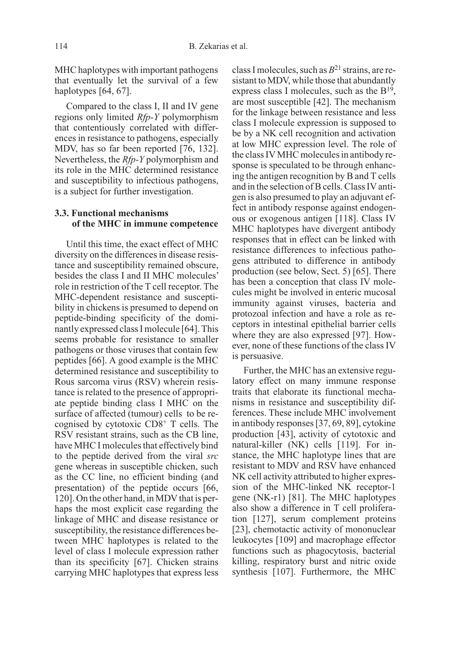MHC haplotypes with important pathogens that eventually let the survival of a few haplotypes [64, 67].

Compared to the class I, II and IV gene regions only limited Rfp-Y polymorphism that contentiously correlated with differences in resistance to pathogens, especially MDV, has so far been reported [76, 132]. Nevertheless, the Rfp-Y polymorphism and its role in the MHC determined resistance and susceptibility to infectious pathogens, is a subject for further investigation.

## 3.3. Functional mechanisms of the MHC in immune competence

Until this time, the exact effect of MHC diversity on the differences in disease resistance and susceptibility remained obscure, besides the class I and II MHC molecules' role in restriction of the T cell receptor. The MHC-dependent resistance and susceptibility in chickens is presumed to depend on peptide-binding specificity of the dominantly expressed class I molecule [64]. This seems probable for resistance to smaller pathogens or those viruses that contain few peptides [66]. A good example is the MHC determined resistance and susceptibility to Rous sarcoma virus (RSV) wherein resistance is related to the presence of appropriate peptide binding class I MHC on the surface of affected (tumour) cells to be recognised by cytotoxic CD8+ T cells. The RSV resistant strains, such as the CB line, have MHC I molecules that effectively bind to the peptide derived from the viral src gene whereas in susceptible chicken, such as the CC line, no efficient binding (and presentation) of the peptide occurs [66, 120]. On the other hand, in MDV that is perhaps the most explicit case regarding the linkage of MHC and disease resistance or susceptibility, the resistance differences between MHC haplotypes is related to the level of class I molecule expression rather than its specificity [67]. Chicken strains carrying MHC haplotypes that express less class I molecules, such as  $B^{21}$  strains, are resistant to MDV, while those that abundantly express class I molecules, such as the B19, are most susceptible [42]. The mechanism for the linkage between resistance and less class I molecule expression is supposed to be by a NK cell recognition and activation at low MHC expression level. The role of the class IV MHC molecules in antibody response is speculated to be through enhancing the antigen recognition by B and T cells and in the selection of B cells. Class IV antigen is also presumed to play an adjuvant effect in antibody response against endogenous or exogenous antigen [118]. Class IV MHC haplotypes have divergent antibody responses that in effect can be linked with resistance differences to infectious pathogens attributed to difference in antibody production (see below, Sect. 5) [65]. There has been a conception that class IV molecules might be involved in enteric mucosal immunity against viruses, bacteria and protozoal infection and have a role as receptors in intestinal epithelial barrier cells where they are also expressed [97]. However, none of these functions of the class IV is persuasive.

Further, the MHC has an extensive regulatory effect on many immune response traits that elaborate its functional mechanisms in resistance and susceptibility differences. These include MHC involvement in antibody responses [37, 69, 89], cytokine production [43], activity of cytotoxic and natural-killer (NK) cells [119]. For instance, the MHC haplotype lines that are resistant to MDV and RSV have enhanced NK cell activity attributed to higher expression of the MHC-linked NK receptor-1 gene (NK-r1) [81]. The MHC haplotypes also show a difference in T cell proliferation [127], serum complement proteins [23], chemotactic activity of mononuclear leukocytes [109] and macrophage effector functions such as phagocytosis, bacterial killing, respiratory burst and nitric oxide synthesis [107]. Furthermore, the MHC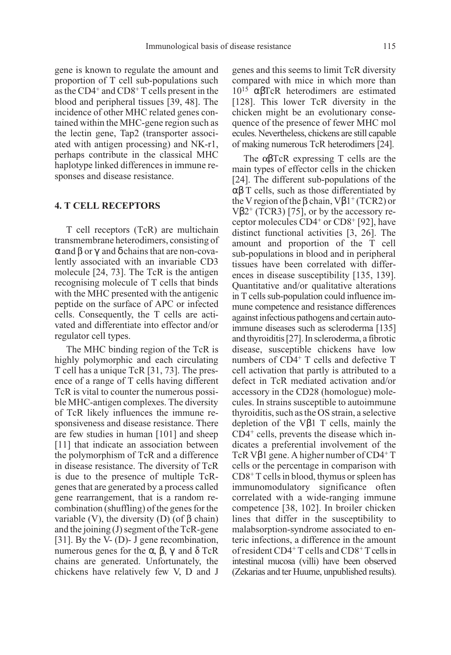gene is known to regulate the amount and proportion of T cell sub-populations such as the CD4+ and CD8+ T cells present in the blood and peripheral tissues [39, 48]. The incidence of other MHC related genes contained within the MHC-gene region such as the lectin gene, Tap2 (transporter associated with antigen processing) and NK-r1, perhaps contribute in the classical MHC haplotype linked differences in immune responses and disease resistance.

#### 4. T CELL RECEPTORS

T cell receptors (TcR) are multichain transmembrane heterodimers, consisting of  $\alpha$  and  $\beta$  or  $\gamma$  and  $\delta$  chains that are non-covalently associated with an invariable CD3 molecule [24, 73]. The TcR is the antigen recognising molecule of T cells that binds with the MHC presented with the antigenic peptide on the surface of APC or infected cells. Consequently, the T cells are activated and differentiate into effector and/or regulator cell types.

The MHC binding region of the TcR is highly polymorphic and each circulating T cell has a unique TcR [31, 73]. The presence of a range of T cells having different TcR is vital to counter the numerous possible MHC-antigen complexes. The diversity of TcR likely influences the immune responsiveness and disease resistance. There are few studies in human [101] and sheep [11] that indicate an association between the polymorphism of TcR and a difference in disease resistance. The diversity of TcR is due to the presence of multiple TcRgenes that are generated by a process called gene rearrangement, that is a random recombination (shuffling) of the genes for the variable (V), the diversity (D) (of  $\beta$  chain) and the joining (J) segment of the TcR-gene [31]. By the V- (D)- J gene recombination, numerous genes for the α,  $\beta$ ,  $\gamma$  and  $\delta$  TcR chains are generated. Unfortunately, the chickens have relatively few V, D and J genes and this seems to limit TcR diversity compared with mice in which more than 1015 αβTcR heterodimers are estimated [128]. This lower TcR diversity in the chicken might be an evolutionary consequence of the presence of fewer MHC mol ecules. Nevertheless, chickens are still capable of making numerous TcR heterodimers [24].

The  $\alpha\beta$ TcR expressing T cells are the main types of effector cells in the chicken [24]. The different sub-populations of the  $\alpha\beta$  T cells, such as those differentiated by the V region of the  $\beta$  chain, V $\beta$ 1<sup>+</sup> (TCR2) or V $\beta$ 2<sup>+</sup> (TCR3) [75], or by the accessory receptor molecules CD4+ or CD8+ [92], have distinct functional activities [3, 26]. The amount and proportion of the T cell sub-populations in blood and in peripheral tissues have been correlated with differences in disease susceptibility [135, 139]. Quantitative and/or qualitative alterations in T cells sub-population could influence immune competence and resistance differences against infectious pathogens and certain autoimmune diseases such as scleroderma [135] and thyroiditis [27]. In scleroderma, a fibrotic disease, susceptible chickens have low numbers of CD4<sup>+</sup> T cells and defective T cell activation that partly is attributed to a defect in TcR mediated activation and/or accessory in the CD28 (homologue) molecules. In strains susceptible to autoimmune thyroiditis, such as the OS strain, a selective depletion of the Vβ1 T cells, mainly the CD4+ cells, prevents the disease which indicates a preferential involvement of the TcR V $\beta$ 1 gene. A higher number of CD4<sup>+</sup> T cells or the percentage in comparison with CD8+ T cells in blood, thymus or spleen has immunomodulatory significance often correlated with a wide-ranging immune competence [38, 102]. In broiler chicken lines that differ in the susceptibility to malabsorption-syndrome associated to enteric infections, a difference in the amount of resident CD4+ T cells and CD8+T cells in intestinal mucosa (villi) have been observed (Zekarias and ter Huurne, unpublished results).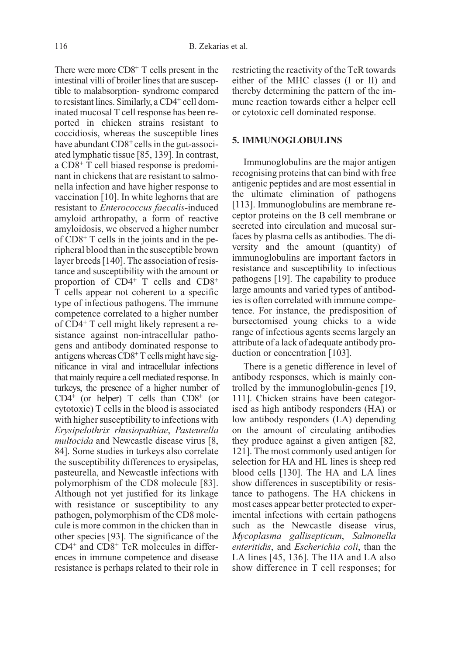There were more  $CDS<sup>+</sup> T$  cells present in the intestinal villi of broiler lines that are susceptible to malabsorption- syndrome compared to resistant lines. Similarly, a CD4<sup>+</sup> cell dominated mucosal T cell response has been reported in chicken strains resistant to coccidiosis, whereas the susceptible lines have abundant CD8<sup>+</sup> cells in the gut-associated lymphatic tissue [85, 139]. In contrast, a CD8+ T cell biased response is predominant in chickens that are resistant to salmonella infection and have higher response to vaccination [10]. In white leghorns that are resistant to Enterococcus faecalis-induced amyloid arthropathy, a form of reactive amyloidosis, we observed a higher number of CD8+ T cells in the joints and in the peripheral blood than in the susceptible brown layer breeds [140]. The association of resistance and susceptibility with the amount or proportion of  $CD4^+$  T cells and  $CD8^+$ T cells appear not coherent to a specific type of infectious pathogens. The immune competence correlated to a higher number of CD4+ T cell might likely represent a resistance against non-intracellular pathogens and antibody dominated response to antigens whereas  $CD8^+$  T cells might have significance in viral and intracellular infections that mainly require a cell mediated response. In turkeys, the presence of a higher number of  $CD4^+$  (or helper) T cells than  $CD8^+$  (or cytotoxic) T cells in the blood is associated with higher susceptibility to infections with Erysipelothrix rhusiopathiae, Pasteurella multocida and Newcastle disease virus [8, 84]. Some studies in turkeys also correlate the susceptibility differences to erysipelas, pasteurella, and Newcastle infections with polymorphism of the CD8 molecule [83]. Although not yet justified for its linkage with resistance or susceptibility to any pathogen, polymorphism of the CD8 molecule is more common in the chicken than in other species [93]. The significance of the CD4+ and CD8+ TcR molecules in differences in immune competence and disease resistance is perhaps related to their role in

restricting the reactivity of the TcR towards either of the MHC classes (I or II) and thereby determining the pattern of the immune reaction towards either a helper cell or cytotoxic cell dominated response.

#### 5. IMMUNOGLOBULINS

Immunoglobulins are the major antigen recognising proteins that can bind with free antigenic peptides and are most essential in the ultimate elimination of pathogens [113]. Immunoglobulins are membrane receptor proteins on the B cell membrane or secreted into circulation and mucosal surfaces by plasma cells as antibodies. The diversity and the amount (quantity) of immunoglobulins are important factors in resistance and susceptibility to infectious pathogens [19]. The capability to produce large amounts and varied types of antibodies is often correlated with immune competence. For instance, the predisposition of bursectomised young chicks to a wide range of infectious agents seems largely an attribute of a lack of adequate antibody production or concentration [103].

There is a genetic difference in level of antibody responses, which is mainly controlled by the immunoglobulin-genes [19, 111]. Chicken strains have been categorised as high antibody responders (HA) or low antibody responders (LA) depending on the amount of circulating antibodies they produce against a given antigen [82, 121]. The most commonly used antigen for selection for HA and HL lines is sheep red blood cells [130]. The HA and LA lines show differences in susceptibility or resistance to pathogens. The HA chickens in most cases appear better protected to experimental infections with certain pathogens such as the Newcastle disease virus, Mycoplasma gallisepticum, Salmonella enteritidis, and Escherichia coli, than the LA lines [45, 136]. The HA and LA also show difference in T cell responses; for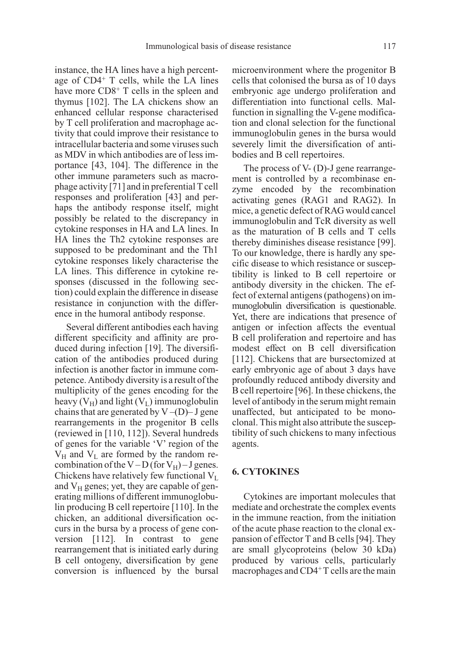instance, the HA lines have a high percentage of CD4+ T cells, while the LA lines have more CD8<sup>+</sup> T cells in the spleen and thymus [102]. The LA chickens show an enhanced cellular response characterised by T cell proliferation and macrophage activity that could improve their resistance to intracellular bacteria and some viruses such as MDV in which antibodies are of less importance [43, 104]. The difference in the other immune parameters such as macrophage activity [71] and in preferential T cell responses and proliferation [43] and perhaps the antibody response itself, might possibly be related to the discrepancy in cytokine responses in HA and LA lines. In HA lines the Th2 cytokine responses are supposed to be predominant and the Th1 cytokine responses likely characterise the LA lines. This difference in cytokine responses (discussed in the following section) could explain the difference in disease resistance in conjunction with the difference in the humoral antibody response.

Several different antibodies each having different specificity and affinity are produced during infection [19]. The diversification of the antibodies produced during infection is another factor in immune competence. Antibody diversity is a result of the multiplicity of the genes encoding for the heavy  $(V_H)$  and light  $(V_L)$  immunoglobulin chains that are generated by  $V - (D) - J$  gene rearrangements in the progenitor B cells (reviewed in [110, 112]). Several hundreds of genes for the variable 'V' region of the  $V_H$  and  $V_L$  are formed by the random recombination of the V – D (for V<sub>H</sub>) – J genes. Chickens have relatively few functional  $V_L$ and  $V_H$  genes; yet, they are capable of generating millions of different immunoglobulin producing B cell repertoire [110]. In the chicken, an additional diversification occurs in the bursa by a process of gene conversion [112]. In contrast to gene rearrangement that is initiated early during B cell ontogeny, diversification by gene conversion is influenced by the bursal microenvironment where the progenitor B cells that colonised the bursa as of 10 days embryonic age undergo proliferation and differentiation into functional cells. Malfunction in signalling the V-gene modification and clonal selection for the functional immunoglobulin genes in the bursa would severely limit the diversification of antibodies and B cell repertoires.

The process of V- (D)-J gene rearrangement is controlled by a recombinase enzyme encoded by the recombination activating genes (RAG1 and RAG2). In mice, a genetic defect of RAG would cancel immunoglobulin and TcR diversity as well as the maturation of B cells and T cells thereby diminishes disease resistance [99]. To our knowledge, there is hardly any specific disease to which resistance or susceptibility is linked to B cell repertoire or antibody diversity in the chicken. The effect of external antigens (pathogens) on immunoglobulin diversification is questionable. Yet, there are indications that presence of antigen or infection affects the eventual B cell proliferation and repertoire and has modest effect on B cell diversification [112]. Chickens that are bursectomized at early embryonic age of about 3 days have profoundly reduced antibody diversity and B cell repertoire [96]. In these chickens, the level of antibody in the serum might remain unaffected, but anticipated to be monoclonal. This might also attribute the susceptibility of such chickens to many infectious agents.

## 6. CYTOKINES

Cytokines are important molecules that mediate and orchestrate the complex events in the immune reaction, from the initiation of the acute phase reaction to the clonal expansion of effector T and B cells [94]. They are small glycoproteins (below 30 kDa) produced by various cells, particularly macrophages and CD4<sup>+</sup>T cells are the main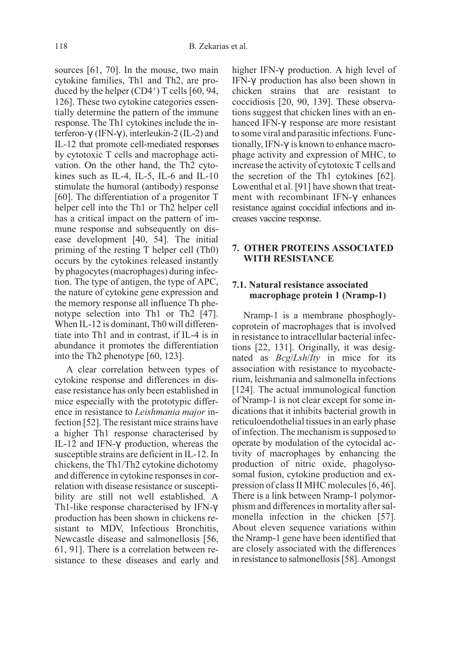sources [61, 70]. In the mouse, two main cytokine families, Th1 and Th2, are produced by the helper  $(CD4^+)$  T cells  $[60, 94,$ 126]. These two cytokine categories essentially determine the pattern of the immune response. The Th1 cytokines include the interferon-γ (IFN-γ ), interleukin-2 (IL-2) and IL-12 that promote cell-mediated responses by cytotoxic T cells and macrophage activation. On the other hand, the Th2 cytokines such as IL-4, IL-5, IL-6 and IL-10 stimulate the humoral (antibody) response [60]. The differentiation of a progenitor T helper cell into the Th1 or Th2 helper cell has a critical impact on the pattern of immune response and subsequently on disease development [40, 54]. The initial priming of the resting T helper cell (Th0) occurs by the cytokines released instantly by phagocytes (macrophages) during infection. The type of antigen, the type of APC, the nature of cytokine gene expression and the memory response all influence Th phenotype selection into Th1 or Th2 [47]. When IL-12 is dominant, Th0 will differentiate into Th1 and in contrast, if IL-4 is in abundance it promotes the differentiation into the Th2 phenotype [60, 123].

A clear correlation between types of cytokine response and differences in disease resistance has only been established in mice especially with the prototypic difference in resistance to Leishmania major infection [52]. The resistant mice strains have a higher Th1 response characterised by IL-12 and IFN-γ production, whereas the susceptible strains are deficient in IL-12. In chickens, the Th1/Th2 cytokine dichotomy and difference in cytokine responses in correlation with disease resistance or susceptibility are still not well established. A Th1-like response characterised by IFN-γ production has been shown in chickens resistant to MDV, Infectious Bronchitis, Newcastle disease and salmonellosis [56, 61, 91]. There is a correlation between resistance to these diseases and early and higher IFN-γ production. A high level of IFN-γ production has also been shown in chicken strains that are resistant to coccidiosis [20, 90, 139]. These observations suggest that chicken lines with an enhanced IFN-γ response are more resistant to some viral and parasitic infections. Functionally, IFN-γ is known to enhance macrophage activity and expression of MHC, to increase the activity of cytotoxic T cells and the secretion of the Th1 cytokines [62]. Lowenthal et al. [91] have shown that treatment with recombinant IFN-γ enhances resistance against coccidial infections and increases vaccine response.

# 7. OTHER PROTEINS ASSOCIATED WITH RESISTANCE

## 7.1. Natural resistance associated macrophage protein 1 (Nramp-1)

Nramp-1 is a membrane phosphoglycoprotein of macrophages that is involved in resistance to intracellular bacterial infections [22, 131]. Originally, it was designated as Bcg/Lsh/Ity in mice for its association with resistance to mycobacterium, leishmania and salmonella infections [124]. The actual immunological function of Nramp-1 is not clear except for some indications that it inhibits bacterial growth in reticuloendothelial tissues in an early phase of infection. The mechanism is supposed to operate by modulation of the cytocidal activity of macrophages by enhancing the production of nitric oxide, phagolysosomal fusion, cytokine production and expression of class II MHC molecules [6, 46]. There is a link between Nramp-1 polymorphism and differences in mortality after salmonella infection in the chicken [57]. About eleven sequence variations within the Nramp-1 gene have been identified that are closely associated with the differences in resistance to salmonellosis [58]. Amongst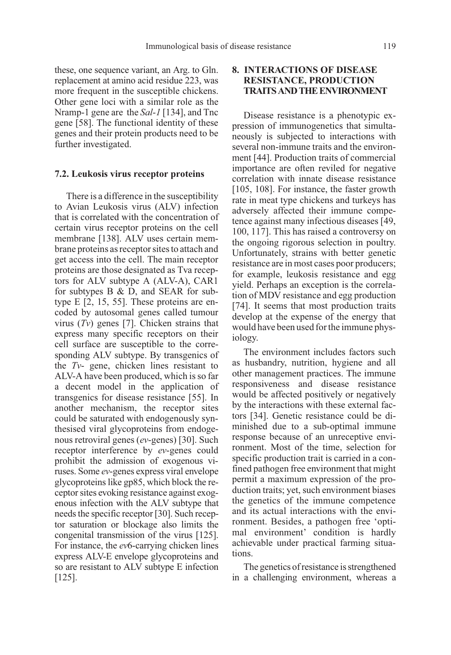these, one sequence variant, an Arg. to Gln. replacement at amino acid residue 223, was more frequent in the susceptible chickens. Other gene loci with a similar role as the Nramp-1 gene are the *Sal-1* [134], and Tnc gene [58]. The functional identity of these genes and their protein products need to be further investigated.

#### 7.2. Leukosis virus receptor proteins

There is a difference in the susceptibility to Avian Leukosis virus (ALV) infection that is correlated with the concentration of certain virus receptor proteins on the cell membrane [138]. ALV uses certain membrane proteins as receptor sites to attach and get access into the cell. The main receptor proteins are those designated as Tva receptors for ALV subtype A (ALV-A), CAR1 for subtypes B & D, and SEAR for subtype E [2, 15, 55]. These proteins are encoded by autosomal genes called tumour virus  $(Tv)$  genes [7]. Chicken strains that express many specific receptors on their cell surface are susceptible to the corresponding ALV subtype. By transgenics of the Tv- gene, chicken lines resistant to ALV-A have been produced, which is so far a decent model in the application of transgenics for disease resistance [55]. In another mechanism, the receptor sites could be saturated with endogenously synthesised viral glycoproteins from endogenous retroviral genes (ev-genes) [30]. Such receptor interference by ev-genes could prohibit the admission of exogenous viruses. Some ev-genes express viral envelope glycoproteins like gp85, which block the receptor sites evoking resistance against exogenous infection with the ALV subtype that needs the specific receptor [30]. Such receptor saturation or blockage also limits the congenital transmission of the virus [125]. For instance, the ev6-carrying chicken lines express ALV-E envelope glycoproteins and so are resistant to ALV subtype E infection [125].

# 8. INTERACTIONS OF DISEASE RESISTANCE, PRODUCTION TRAITS AND THE ENVIRONMENT

Disease resistance is a phenotypic expression of immunogenetics that simultaneously is subjected to interactions with several non-immune traits and the environment [44]. Production traits of commercial importance are often reviled for negative correlation with innate disease resistance [105, 108]. For instance, the faster growth rate in meat type chickens and turkeys has adversely affected their immune competence against many infectious diseases [49, 100, 117]. This has raised a controversy on the ongoing rigorous selection in poultry. Unfortunately, strains with better genetic resistance are in most cases poor producers; for example, leukosis resistance and egg yield. Perhaps an exception is the correlation of MDV resistance and egg production [74]. It seems that most production traits develop at the expense of the energy that would have been used for the immune physiology.

The environment includes factors such as husbandry, nutrition, hygiene and all other management practices. The immune responsiveness and disease resistance would be affected positively or negatively by the interactions with these external factors [34]. Genetic resistance could be diminished due to a sub-optimal immune response because of an unreceptive environment. Most of the time, selection for specific production trait is carried in a confined pathogen free environment that might permit a maximum expression of the production traits; yet, such environment biases the genetics of the immune competence and its actual interactions with the environment. Besides, a pathogen free 'optimal environment' condition is hardly achievable under practical farming situations.

The genetics of resistance is strengthened in a challenging environment, whereas a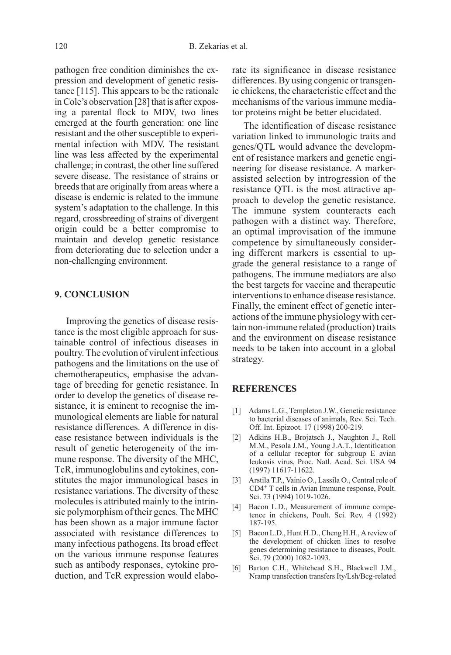pathogen free condition diminishes the expression and development of genetic resistance [115]. This appears to be the rationale in Cole's observation [28] that is after exposing a parental flock to MDV, two lines emerged at the fourth generation: one line resistant and the other susceptible to experimental infection with MDV. The resistant line was less affected by the experimental challenge; in contrast, the other line suffered severe disease. The resistance of strains or breeds that are originally from areas where a disease is endemic is related to the immune system's adaptation to the challenge. In this regard, crossbreeding of strains of divergent origin could be a better compromise to maintain and develop genetic resistance from deteriorating due to selection under a non-challenging environment.

## 9. CONCLUSION

Improving the genetics of disease resistance is the most eligible approach for sustainable control of infectious diseases in poultry. The evolution of virulent infectious pathogens and the limitations on the use of chemotherapeutics, emphasise the advantage of breeding for genetic resistance. In order to develop the genetics of disease resistance, it is eminent to recognise the immunological elements are liable for natural resistance differences. A difference in disease resistance between individuals is the result of genetic heterogeneity of the immune response. The diversity of the MHC, TcR, immunoglobulins and cytokines, constitutes the major immunological bases in resistance variations. The diversity of these molecules is attributed mainly to the intrinsic polymorphism of their genes. The MHC has been shown as a major immune factor associated with resistance differences to many infectious pathogens. Its broad effect on the various immune response features such as antibody responses, cytokine production, and TcR expression would elaborate its significance in disease resistance differences. By using congenic or transgenic chickens, the characteristic effect and the mechanisms of the various immune mediator proteins might be better elucidated.

The identification of disease resistance variation linked to immunologic traits and genes/QTL would advance the development of resistance markers and genetic engineering for disease resistance. A markerassisted selection by introgression of the resistance QTL is the most attractive approach to develop the genetic resistance. The immune system counteracts each pathogen with a distinct way. Therefore, an optimal improvisation of the immune competence by simultaneously considering different markers is essential to upgrade the general resistance to a range of pathogens. The immune mediators are also the best targets for vaccine and therapeutic interventions to enhance disease resistance. Finally, the eminent effect of genetic interactions of the immune physiology with certain non-immune related (production) traits and the environment on disease resistance needs to be taken into account in a global strategy.

#### **REFERENCES**

- [1] Adams L.G., Templeton J.W., Genetic resistance to bacterial diseases of animals, Rev. Sci. Tech. Off. Int. Epizoot. 17 (1998) 200-219.
- [2] Adkins H.B., Brojatsch J., Naughton J., Roll M.M., Pesola J.M., Young J.A.T., Identification of a cellular receptor for subgroup E avian leukosis virus, Proc. Natl. Acad. Sci. USA 94 (1997) 11617-11622.
- [3] Arstila T.P., Vainio O., Lassila O., Central role of CD4+ T cells in Avian Immune response, Poult. Sci. 73 (1994) 1019-1026.
- [4] Bacon L.D., Measurement of immune competence in chickens, Poult. Sci. Rev. 4 (1992) 187-195.
- [5] Bacon L.D., Hunt H.D., Cheng H.H., A review of the development of chicken lines to resolve genes determining resistance to diseases, Poult. Sci. 79 (2000) 1082-1093.
- [6] Barton C.H., Whitehead S.H., Blackwell J.M., Nramp transfection transfers Ity/Lsh/Bcg-related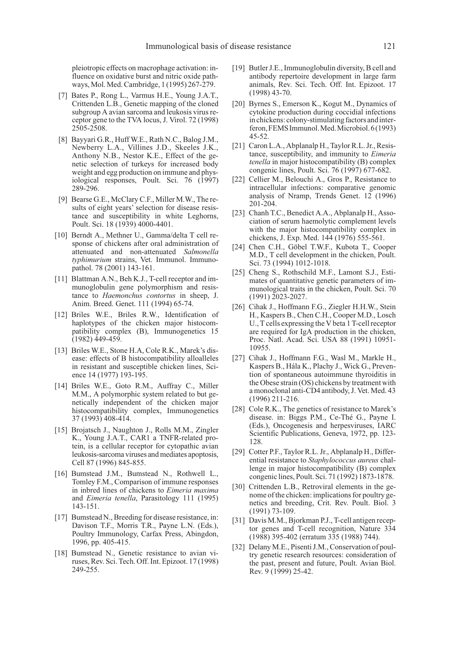pleiotropic effects on macrophage activation: influence on oxidative burst and nitric oxide pathways, Mol. Med. Cambridge, 1 (1995) 267-279.

- [7] Bates P., Rong L., Varmus H.E., Young J.A.T., Crittenden L.B., Genetic mapping of the cloned subgroup A avian sarcoma and leukosis virus receptor gene to the TVA locus, J. Virol. 72 (1998) 2505-2508.
- [8] Bayyari G.R., Huff W.E., Rath N.C., Balog J.M., Newberry L.A., Villines J.D., Skeeles J.K., Anthony N.B., Nestor K.E., Effect of the genetic selection of turkeys for increased body weight and egg production on immune and physiological responses, Poult. Sci. 76 (1997) 289-296.
- [9] Bearse G.E., McClary C.F., Miller M.W., The results of eight years' selection for disease resistance and susceptibility in white Leghorns, Poult. Sci. 18 (1939) 4000-4401.
- [10] Berndt A., Methner U., Gamma/delta T cell response of chickens after oral administration of attenuated and non-attenuated Salmonella typhimurium strains, Vet. Immunol. Immunopathol. 78 (2001) 143-161.
- [11] Blattman A.N., Beh K.J., T-cell receptor and immunoglobulin gene polymorphism and resistance to Haemonchus contortus in sheep, J. Anim. Breed. Genet. 111 (1994) 65-74.
- [12] Briles W.E., Briles R.W., Identification of haplotypes of the chicken major histocompatibility complex (B), Immunogenetics 15 (1982) 449-459.
- [13] Briles W.E., Stone H.A, Cole R.K., Marek's disease: effects of B histocompatibility alloalleles in resistant and susceptible chicken lines, Science 14 (1977) 193-195.
- [14] Briles W.E., Goto R.M., Auffray C., Miller M.M., A polymorphic system related to but genetically independent of the chicken major histocompatibility complex, Immunogenetics 37 (1993) 408-414.
- [15] Brojatsch J., Naughton J., Rolls M.M., Zingler K., Young J.A.T., CAR1 a TNFR-related protein, is a cellular receptor for cytopathic avian leukosis-sarcoma viruses and mediates apoptosis, Cell 87 (1996) 845-855.
- [16] Bumstead J.M., Bumstead N., Rothwell L., Tomley F.M., Comparison of immune responses in inbred lines of chickens to Eimeria maxima and Eimeria tenella, Parasitology 111 (1995) 143-151.
- [17] Bumstead N., Breeding for disease resistance, in: Davison T.F., Morris T.R., Payne L.N. (Eds.), Poultry Immunology, Carfax Press, Abingdon, 1996, pp. 405-415.
- [18] Bumstead N., Genetic resistance to avian viruses, Rev. Sci. Tech. Off. Int. Epizoot. 17 (1998) 249-255.
- [19] Butler J.E., Immunoglobulin diversity, B cell and antibody repertoire development in large farm animals, Rev. Sci. Tech. Off. Int. Epizoot. 17 (1998) 43-70.
- [20] Byrnes S., Emerson K., Kogut M., Dynamics of cytokine production during coccidial infections in chickens: colony-stimulating factors and interferon,FEMSImmunol.Med.Microbiol.6(1993) 45-52.
- [21] Caron L.A., Abplanalp H., Taylor R.L. Jr., Resistance, susceptibility, and immunity to *Eimeria* tenella in major histocompatibility (B) complex congenic lines, Poult. Sci. 76 (1997) 677-682.
- [22] Cellier M., Belouchi A., Gros P., Resistance to intracellular infections: comparative genomic analysis of Nramp, Trends Genet. 12 (1996) 201-204.
- [23] Chanh T.C., Benedict A.A., Abplanalp H., Association of serum haemolytic complement levels with the major histocompatibility complex in chickens, J. Exp. Med. 144 (1976) 555-561.
- [24] Chen C.H., Göbel T.W.F., Kubota T., Cooper M.D., T cell development in the chicken, Poult. Sci. 73 (1994) 1012-1018.
- [25] Cheng S., Rothschild M.F., Lamont S.J., Estimates of quantitative genetic parameters of immunological traits in the chicken, Poult. Sci. 70 (1991) 2023-2027.
- [26] Cihak J., Hoffmann F.G., Ziegler H.H.W., Stein H., Kaspers B., Chen C.H., Cooper M.D., Losch U., T cells expressing the V beta 1 T-cell receptor are required for IgA production in the chicken, Proc. Natl. Acad. Sci. USA 88 (1991) 10951- 10955.
- [27] Cihak J., Hoffmann F.G., Wasl M., Markle H., Kaspers B., Hála K., Plachy J., Wick G., Prevention of spontaneous autoimmune thyroiditis in the Obese strain (OS) chickens by treatment with a monoclonal anti-CD4 antibody, J. Vet. Med. 43 (1996) 211-216.
- [28] Cole R.K., The genetics of resistance to Marek's disease. in: Biggs P.M., Ce-Thé G., Payne I. (Eds.), Oncogenesis and herpesviruses, IARC Scientific Publications, Geneva, 1972, pp. 123- 128.
- [29] Cotter P.F., Taylor R.L. Jr., Abplanalp H., Differential resistance to Staphylococcus aureus challenge in major histocompatibility (B) complex congenic lines, Poult. Sci. 71 (1992) 1873-1878.
- [30] Crittenden L.B., Retroviral elements in the genome of the chicken: implications for poultry genetics and breeding, Crit. Rev. Poult. Biol. 3 (1991) 73-109.
- [31] Davis M.M., Bjorkman P.J., T-cell antigen receptor genes and T-cell recognition, Nature 334 (1988) 395-402 (erratum 335 (1988) 744).
- [32] Delany M.E., Pisenti J.M., Conservation of poultry genetic research resources: consideration of the past, present and future, Poult. Avian Biol. Rev. 9 (1999) 25-42.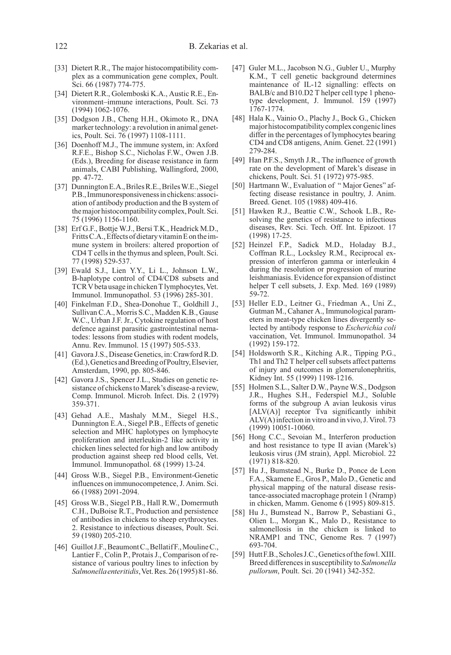- [33] Dietert R.R., The major histocompatibility complex as a communication gene complex, Poult. Sci. 66 (1987) 774-775.
- [34] Dietert R.R., Golemboski K.A., Austic R.E., Environment–immune interactions, Poult. Sci. 73 (1994) 1062-1076.
- [35] Dodgson J.B., Cheng H.H., Okimoto R., DNA marker technology: a revolution in animal genetics, Poult. Sci. 76 (1997) 1108-1111.
- [36] Doenhoff M.J., The immune system, in: Axford R.F.E., Bishop S.C., Nicholas F.W., Owen J.B. (Eds.), Breeding for disease resistance in farm animals, CABI Publishing, Wallingford, 2000, pp. 47-72.
- [37] Dunnington E.A., Briles R.E., Briles W.E., Siegel P.B.,Immunoresponsivenessinchickens:association of antibody production and the B system of themajorhistocompatibilitycomplex,Poult.Sci. 75 (1996) 1156-1160.
- [38] Erf G.F., Bottje W.J., Bersi T.K., Headrick M.D., Fritts C.A., Effects of dietary vitamin E on the immune system in broilers: altered proportion of CD4 T cells in the thymus and spleen, Poult. Sci. 77 (1998) 529-537.
- [39] Ewald S.J., Lien Y.Y., Li L., Johnson L.W., B-haplotype control of CD4/CD8 subsets and TCR V betausage in chicken T lymphocytes, Vet. Immunol. Immunopathol. 53 (1996) 285-301.
- [40] Finkelman F.D., Shea-Donohue T., Goldhill J., Sullivan C.A., Morris S.C., Madden K.B., Gause W.C., Urban J.F. Jr., Cytokine regulation of host defence against parasitic gastrointestinal nematodes: lessons from studies with rodent models, Annu. Rev. Immunol. 15 (1997) 505-533.
- [41] Gavora J.S., Disease Genetics, in: Crawford R.D. (Ed.),GeneticsandBreedingofPoultry,Elsevier, Amsterdam, 1990, pp. 805-846.
- [42] Gavora J.S., Spencer J.L., Studies on genetic resistance of chickens to Marek's disease-a review, Comp. Immunol. Microb. Infect. Dis. 2 (1979) 359-371.
- [43] Gehad A.E., Mashaly M.M., Siegel H.S., Dunnington E.A., Siegel P.B., Effects of genetic selection and MHC haplotypes on lymphocyte proliferation and interleukin-2 like activity in chicken lines selected for high and low antibody production against sheep red blood cells, Vet. Immunol. Immunopathol. 68 (1999) 13-24.
- [44] Gross W.B., Siegel P.B., Environment-Genetic influences on immunocompetence, J. Anim. Sci. 66 (1988) 2091-2094.
- [45] Gross W.B., Siegel P.B., Hall R.W., Domermuth C.H., DuBoise R.T., Production and persistence of antibodies in chickens to sheep erythrocytes. 2. Resistance to infectious diseases, Poult. Sci. 59 (1980) 205-210.
- [46] Guillot J.F., Beaumont C., Bellatif F., Mouline C., Lantier F., Colin P., Protais J., Comparison of resistance of various poultry lines to infection by Salmonella enteritidis, Vet. Res. 26(1995) 81-86.
- [47] Guler M.L., Jacobson N.G., Gubler U., Murphy K.M., T cell genetic background determines maintenance of IL-12 signalling: effects on BALB/c and B10.D2 T helper cell type 1 phenotype development, J. Immunol. 159 (1997) 1767-1774.
- [48] Hala K., Vainio O., Plachy J., Bock G., Chicken major histocompatibility complex congenic lines differ in the percentages of lymphocytes bearing CD4 and CD8 antigens, Anim. Genet. 22 (1991) 279-284.
- [49] Han P.F.S., Smyth J.R., The influence of growth rate on the development of Marek's disease in chickens, Poult. Sci. 51 (1972) 975-985.
- [50] Hartmann W., Evaluation of "Major Genes" affecting disease resistance in poultry, J. Anim. Breed. Genet. 105 (1988) 409-416.
- [51] Hawken R.J., Beattie C.W., Schook L.B., Resolving the genetics of resistance to infectious diseases, Rev. Sci. Tech. Off. Int. Epizoot. 17 (1998) 17-25.
- [52] Heinzel F.P., Sadick M.D., Holaday B.J., Coffman R.L., Locksley R.M., Reciprocal expression of interferon gamma or interleukin 4 during the resolution or progression of murine leishmaniasis. Evidence for expansion of distinct helper T cell subsets, J. Exp. Med. 169 (1989) 59-72.
- [53] Heller E.D., Leitner G., Friedman A., Uni Z., Gutman M., Cahaner A., Immunological parameters in meat-type chicken lines divergently selected by antibody response to Escherichia coli vaccination, Vet. Immunol. Immunopathol. 34 (1992) 159-172.
- [54] Holdsworth S.R., Kitching A.R., Tipping P.G., Th1 and Th2 T helper cell subsets affect patterns of injury and outcomes in glomerulonephritis, Kidney Int. 55 (1999) 1198-1216.
- [55] Holmen S.L., Salter D.W., Payne W.S., Dodgson J.R., Hughes S.H., Federspiel M.J., Soluble forms of the subgroup A avian leukosis virus [ALV(A)] receptor Tva significantly inhibit ALV(A) infection in vitro and in vivo, J. Virol. 73 (1999) 10051-10060.
- [56] Hong C.C., Sevoian M., Interferon production and host resistance to type II avian (Marek's) leukosis virus (JM strain), Appl. Microbiol. 22 (1971) 818-820.
- [57] Hu J., Bumstead N., Burke D., Ponce de Leon F.A., Skamene E., Gros P., Malo D., Genetic and physical mapping of the natural disease resistance-associated macrophage protein 1 (Nramp) in chicken, Mamm. Genome 6 (1995) 809-815.
- [58] Hu J., Bumstead N., Barrow P., Sebastiani G., Olien L., Morgan K., Malo D., Resistance to salmonellosis in the chicken is linked to NRAMP1 and TNC, Genome Res. 7 (1997) 693-704.
- [59] Hutt F.B., Scholes J.C., Genetics of the fowl. XIII. Breed differences in susceptibility to Salmonella pullorum, Poult. Sci. 20 (1941) 342-352.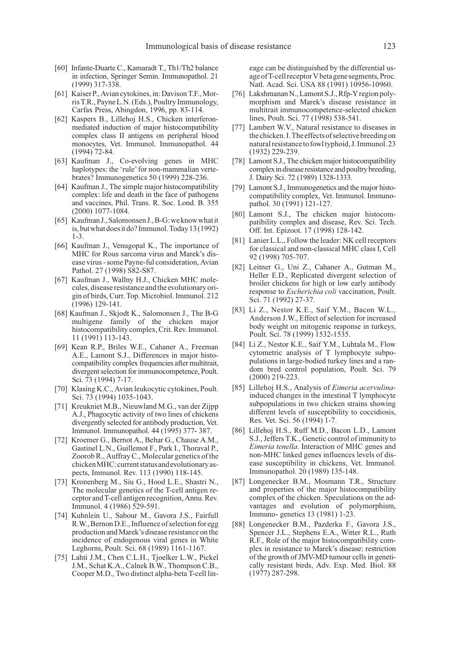- [60] Infante-Duarte C., Kamaradt T., Th1/Th2 balance in infection, Springer Semin. Immunopathol. 21 (1999) 317-338.
- [61] Kaiser P., Avian cytokines, in: Davison T.F., Morris T.R., Payne L.N. (Eds.), Poultry Immunology, Carfax Press, Abingdon, 1996, pp. 83-114.
- [62] Kaspers B., Lillehoj H.S., Chicken interferonmediated induction of major histocompatibility complex class II antigens on peripheral blood monocytes, Vet. Immunol. Immunopathol. 44 (1994) 72-84.
- [63] Kaufman J., Co-evolving genes in MHC haplotypes: the 'rule' for non-mammalian vertebrates? Immunogenetics 50 (1999) 228-236.
- [64] Kaufman J., The simple major histocompatibility complex: life and death in the face of pathogens and vaccines, Phil. Trans. R. Soc. Lond. B. 355 (2000) 1077-1084.
- [65] KaufmanJ.,SalomonsenJ.,B-G:weknowwhatit is,butwhatdoesitdo?Immunol.Today13(1992) 1-3.
- [66] Kaufman J., Venugopal K., The importance of MHC for Rous sarcoma virus and Marek's disease virus - some Payne-ful consideration, Avian Pathol. 27 (1998) S82-S87.
- [67] Kaufman J., Wallny H.J., Chicken MHC molecules, diseaseresistanceandtheevolutionaryorigin of birds, Curr. Top. Microbiol. Immunol. 212 (1996) 129-141.
- [68] Kaufman J., Skjodt K., Salomonsen J., The B-G multigene family of the chicken major histocompatibility complex, Crit. Rev. Immunol. 11 (1991) 113-143.
- [69] Kean R.P., Briles W.E., Cahaner A., Freeman A.E., Lamont S.J., Differences in major histocompatibility complex frequencies after multitrait, divergent selection for immunocompetence, Poult. Sci. 73 (1994) 7-17.
- [70] Klasing K.C., Avian leukocytic cytokines, Poult. Sci. 73 (1994) 1035-1043.
- [71] Kreukniet M.B., Nieuwland M.G., van der Zijpp A.J., Phagocytic activity of two lines of chickens divergently selected for antibody production, Vet. Immunol. Immunopathol. 44 (1995) 377- 387.
- [72] Kroemer G., Bernot A., Behar G., Chause A.M., Gastinel L.N., Guillemot F., Park I., Thoraval P., Zoorob R., Auffray C., Molecular genetics of the chicken MHC: current status and evolutionary aspects, Immunol. Rev. 113 (1990) 118-145.
- [73] Kronenberg M., Siu G., Hood L.E., Shastri N., The molecular genetics of the T-cell antigen receptor and T-cell antigen recognition, Annu. Rev. Immunol. 4 (1986) 529-591.
- [74] Kuhnlein U., Sabour M., Gavora J.S., Fairfull R.W., Bernon D.E., Influence of selection for egg production and Marek's disease resistance on the incidence of endogenous viral genes in White Leghorns, Poult. Sci. 68 (1989) 1161-1167.
- [75] Lahti J.M., Chen C.L.H., Tjoelker L.W., Pickel J.M., Schat K.A., Calnek B.W., Thompson C.B., Cooper M.D., Two distinct alpha-beta T-cell lin-

eage can be distinguished by the differential usageofT-cellreceptorVbetagenesegments,Proc. Natl. Acad. Sci. USA 88 (1991) 10956-10960.

- [76] Lakshmanan N., Lamont S.J., Rfp-Y region polymorphism and Marek's disease resistance in multitrait immunocompetence-selected chicken lines, Poult. Sci. 77 (1998) 538-541.
- [77] Lambert W.V., Natural resistance to diseases in thechicken.I.Theeffectsofselectivebreedingon natural resistance to fowl typhoid, J. Immunol. 23 (1932) 229-239.
- [78] Lamont S.J., The chicken major histocompatibility complex in disease resistance and poultry breeding, J. Dairy Sci. 72 (1989) 1328-1333.
- [79] Lamont S.J., Immunogenetics and the major histocompatibility complex, Vet. Immunol. Immunopathol. 30 (1991) 121-127.
- [80] Lamont S.J., The chicken major histocompatibility complex and disease, Rev. Sci. Tech. Off. Int. Epizoot. 17 (1998) 128-142.
- [81] Lanier L.L., Follow the leader: NK cell receptors for classical and non-classical MHC class I, Cell 92 (1998) 705-707.
- [82] Leitner G., Uni Z., Cahaner A., Gutman M., Heller E.D., Replicated divergent selection of broiler chickens for high or low early antibody response to Escherichia coli vaccination, Poult. Sci. 71 (1992) 27-37.
- [83] Li Z., Nestor K.E., Saif Y.M., Bacon W.L., Anderson J.W., Effect of selection for increased body weight on mitogenic response in turkeys, Poult. Sci. 78 (1999) 1532-1535.
- [84] Li Z., Nestor K.E., Saif Y.M., Luhtala M., Flow cytometric analysis of T lymphocyte subpopulations in large-bodied turkey lines and a random bred control population, Poult. Sci. 79 (2000) 219-223.
- [85] Lillehoj H.S., Analysis of Eimeria acervulinainduced changes in the intestinal T lymphocyte subpopulations in two chicken strains showing different levels of susceptibility to coccidiosis, Res. Vet. Sci. 56 (1994) 1-7.
- [86] Lillehoj H.S., Ruff M.D., Bacon L.D., Lamont S.J., Jeffers T.K., Genetic control of immunity to Eimeria tenella. Interaction of MHC genes and non-MHC linked genes influences levels of disease susceptibility in chickens, Vet. Immunol. Immunopathol. 20 (1989) 135-148.
- [87] Longenecker B.M., Mosmann T.R., Structure and properties of the major histocompatibility complex of the chicken. Speculations on the advantages and evolution of polymorphism, Immuno- genetics 13 (1981) 1-23.
- [88] Longenecker B.M., Pazderka F., Gavora J.S., Spencer J.L., Stephens E.A., Witter R.L., Ruth R.F., Role of the major histocompatibility complex in resistance to Marek's disease: restriction of the growth of JMV-MD tumour cells in genetically resistant birds, Adv. Exp. Med. Biol. 88 (1977) 287-298.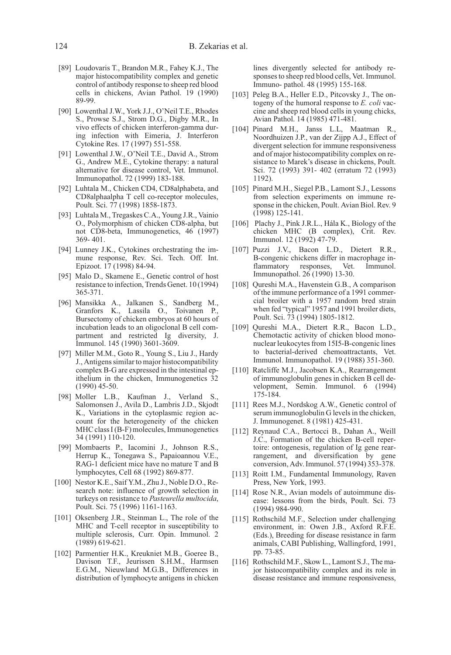- [89] Loudovaris T., Brandon M.R., Fahey K.J., The major histocompatibility complex and genetic control of antibody response to sheep red blood cells in chickens, Avian Pathol. 19 (1990) 89-99.
- [90] Lowenthal J.W., York J.J., O'Neil T.E., Rhodes S., Prowse S.J., Strom D.G., Digby M.R., In vivo effects of chicken interferon-gamma during infection with Eimeria, J. Interferon Cytokine Res. 17 (1997) 551-558.
- [91] Lowenthal J.W., O'Neil T.E., David A., Strom G., Andrew M.E., Cytokine therapy: a natural alternative for disease control, Vet. Immunol. Immunopathol. 72 (1999) 183-188.
- [92] Luhtala M., Chicken CD4, CD8alphabeta, and CD8alphaalpha T cell co-receptor molecules, Poult. Sci. 77 (1998) 1858-1873.
- [93] Luhtala M., Tregaskes C.A., Young J.R., Vainio O., Polymorphism of chicken CD8-alpha, but not CD8-beta, Immunogenetics, 46 (1997) 369- 401.
- [94] Lunney J.K., Cytokines orchestrating the immune response, Rev. Sci. Tech. Off. Int. Epizoot. 17 (1998) 84-94.
- [95] Malo D., Skamene E., Genetic control of host resistance to infection, Trends Genet. 10 (1994) 365-371.
- [96] Mansikka A., Jalkanen S., Sandberg M., Granfors K., Lassila O., Toivanen P., Bursectomy of chicken embryos at 60 hours of incubation leads to an oligoclonal B cell compartment and restricted Ig diversity, J. Immunol. 145 (1990) 3601-3609.
- [97] Miller M.M., Goto R., Young S., Liu J., Hardy J., Antigens similar to major histocompatibility complex B-G are expressed in the intestinal epithelium in the chicken, Immunogenetics 32 (1990) 45-50.
- [98] Moller L.B., Kaufman J., Verland S., Salomonsen J., Avila D., Lambris J.D., Skjodt K., Variations in the cytoplasmic region account for the heterogeneity of the chicken MHC class I (B-F) molecules, Immunogenetics 34 (1991) 110-120.
- [99] Mombaerts P., Iacomini J., Johnson R.S., Herrup K., Tonegawa S., Papaioannou V.E., RAG-1 deficient mice have no mature T and B lymphocytes, Cell 68 (1992) 869-877.
- [100] Nestor K.E., Saif Y.M., Zhu J., Noble D.O., Research note: influence of growth selection in turkeys on resistance to Pasteurella multocida, Poult. Sci. 75 (1996) 1161-1163.
- [101] Oksenberg J.R., Steinman L., The role of the MHC and T-cell receptor in susceptibility to multiple sclerosis, Curr. Opin. Immunol. 2 (1989) 619-621.
- [102] Parmentier H.K., Kreukniet M.B., Goeree B., Davison T.F., Jeurissen S.H.M., Harmsen E.G.M., Nieuwland M.G.B., Differences in distribution of lymphocyte antigens in chicken

lines divergently selected for antibody responses to sheep red blood cells, Vet. Immunol. Immuno- pathol. 48 (1995) 155-168.

- [103] Peleg B.A., Heller E.D., Pitcovsky J., The ontogeny of the humoral response to E. coli vaccine and sheep red blood cells in young chicks, Avian Pathol. 14 (1985) 471-481.
- [104] Pinard M.H., Janss L.L, Maatman R., Noordhuizen J.P., van der Zijpp A.J., Effect of divergent selection for immune responsiveness and of major histocompatibility complex on resistance to Marek's disease in chickens, Poult. Sci. 72 (1993) 391- 402 (erratum 72 (1993) 1192).
- [105] Pinard M.H., Siegel P.B., Lamont S.J., Lessons from selection experiments on immune response in the chicken, Poult. Avian Biol. Rev. 9 (1998) 125-141.
- [106] Plachy J., Pink J.R.L., Hála K., Biology of the chicken MHC (B complex), Crit. Rev. Immunol. 12 (1992) 47-79.
- [107] Puzzi J.V., Bacon L.D., Dietert R.R., B-congenic chickens differ in macrophage inflammatory responses, Vet. Immunol. Immunopathol. 26 (1990) 13-30.
- [108] Qureshi M.A., Havenstein G.B., A comparison of the immune performance of a 1991 commercial broiler with a 1957 random bred strain when fed "typical" 1957 and 1991 broiler diets, Poult. Sci. 73 (1994) 1805-1812.
- [109] Qureshi M.A., Dietert R.R., Bacon L.D., Chemotactic activity of chicken blood mononuclear leukocytes from 15I5-B-congenic lines to bacterial-derived chemoattractants, Vet. Immunol. Immunopathol. 19 (1988) 351-360.
- [110] Ratcliffe M.J., Jacobsen K.A., Rearrangement of immunoglobulin genes in chicken B cell development, Semin. Immunol. 6 (1994) 175-184.
- [111] Rees M.J., Nordskog A.W., Genetic control of serum immunoglobulin G levels in the chicken, J. Immunogenet. 8 (1981) 425-431.
- [112] Reynaud C.A., Bertocci B., Dahan A., Weill J.C., Formation of the chicken B-cell repertoire: ontogenesis, regulation of Ig gene rearrangement, and diversification by gene conversion, Adv. Immunol. 57 (1994) 353-378.
- [113] Roitt I.M., Fundamental Immunology, Raven Press, New York, 1993.
- [114] Rose N.R., Avian models of autoimmune disease: lessons from the birds, Poult. Sci. 73 (1994) 984-990.
- [115] Rothschild M.F., Selection under challenging environment, in: Owen J.B., Axford R.F.E. (Eds.), Breeding for disease resistance in farm animals, CABI Publishing, Wallingford, 1991, pp. 73-85.
- [116] Rothschild M.F., Skow L., Lamont S.J., The major histocompatibility complex and its role in disease resistance and immune responsiveness,